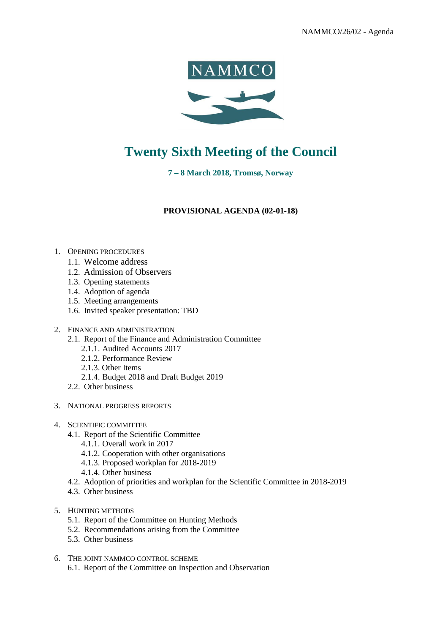



## **Twenty Sixth Meeting of the Council**

**7 – 8 March 2018, Tromsø, Norway**

**PROVISIONAL AGENDA (02-01-18)** 

- 1. OPENING PROCEDURES
	- 1.1. Welcome address
	- 1.2. Admission of Observers
	- 1.3. Opening statements
	- 1.4. Adoption of agenda
	- 1.5. Meeting arrangements
	- 1.6. Invited speaker presentation: TBD
- 2. FINANCE AND ADMINISTRATION
	- 2.1. Report of the Finance and Administration Committee
		- 2.1.1. Audited Accounts 2017
		- 2.1.2. Performance Review
		- 2.1.3. Other Items
		- 2.1.4. Budget 2018 and Draft Budget 2019
	- 2.2. Other business
- 3. NATIONAL PROGRESS REPORTS
- 4. SCIENTIFIC COMMITTEE
	- 4.1. Report of the Scientific Committee
		- 4.1.1. Overall work in 2017
		- 4.1.2. Cooperation with other organisations
		- 4.1.3. Proposed workplan for 2018-2019
		- 4.1.4. Other business
	- 4.2. Adoption of priorities and workplan for the Scientific Committee in 2018-2019
	- 4.3. Other business
- 5. HUNTING METHODS
	- 5.1. Report of the Committee on Hunting Methods
	- 5.2. Recommendations arising from the Committee
	- 5.3. Other business
- 6. THE JOINT NAMMCO CONTROL SCHEME
	- 6.1. Report of the Committee on Inspection and Observation